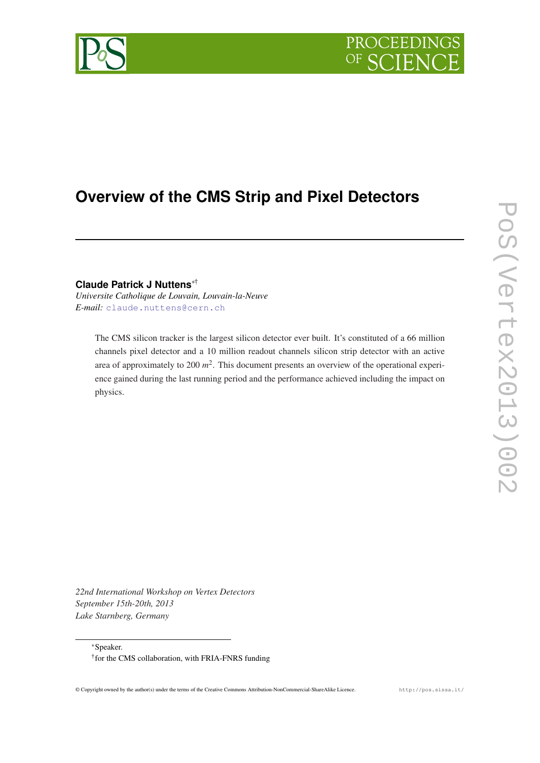## PROCEEDING OF C



# **Overview of the CMS Strip and Pixel Detectors**

**Claude Patrick J Nuttens**∗†

*Universite Catholique de Louvain, Louvain-la-Neuve E-mail:* [claude.nuttens@cern.ch](mailto:claude.nuttens@cern.ch)

The CMS silicon tracker is the largest silicon detector ever built. It's constituted of a 66 million channels pixel detector and a 10 million readout channels silicon strip detector with an active area of approximately to 200 *m* 2 . This document presents an overview of the operational experience gained during the last running period and the performance achieved including the impact on physics.

PoS(Vertex2013)002 PoS(Vertex2013)002

*22nd International Workshop on Vertex Detectors September 15th-20th, 2013 Lake Starnberg, Germany*

<sup>∗</sup>Speaker.

<sup>†</sup> for the CMS collaboration, with FRIA-FNRS funding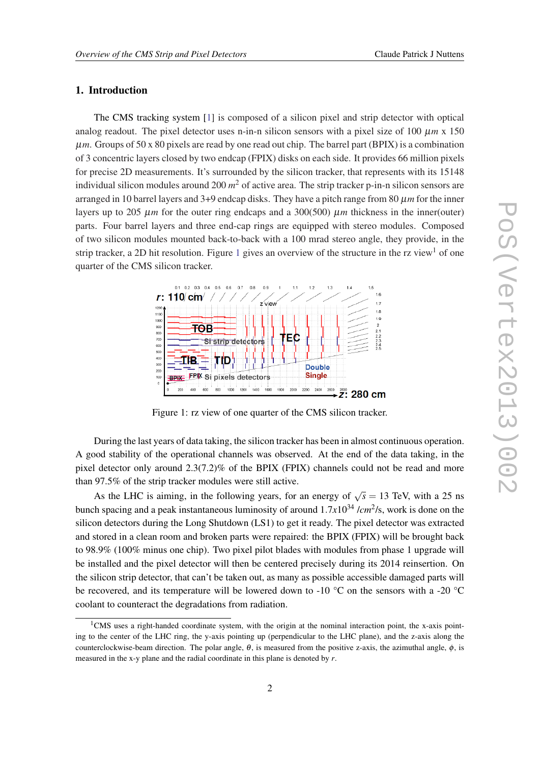## 1. Introduction

The CMS tracking system [[1](#page-9-0)] is composed of a silicon pixel and strip detector with optical analog readout. The pixel detector uses n-in-n silicon sensors with a pixel size of 100  $\mu$ m x 150 µ*m*. Groups of 50 x 80 pixels are read by one read out chip. The barrel part (BPIX) is a combination of 3 concentric layers closed by two endcap (FPIX) disks on each side. It provides 66 million pixels for precise 2D measurements. It's surrounded by the silicon tracker, that represents with its 15148 individual silicon modules around 200 *m* <sup>2</sup> of active area. The strip tracker p-in-n silicon sensors are arranged in 10 barrel layers and 3+9 endcap disks. They have a pitch range from 80 µ*m* for the inner layers up to 205  $\mu$ *m* for the outer ring endcaps and a 300(500)  $\mu$ *m* thickness in the inner(outer) parts. Four barrel layers and three end-cap rings are equipped with stereo modules. Composed of two silicon modules mounted back-to-back with a 100 mrad stereo angle, they provide, in the strip tracker, a 2D hit resolution. Figure 1 gives an overview of the structure in the rz view<sup>1</sup> of one quarter of the CMS silicon tracker.



Figure 1: rz view of one quarter of the CMS silicon tracker.

During the last years of data taking, the silicon tracker has been in almost continuous operation. A good stability of the operational channels was observed. At the end of the data taking, in the pixel detector only around 2.3(7.2)% of the BPIX (FPIX) channels could not be read and more than 97.5% of the strip tracker modules were still active.

As the LHC is aiming, in the following years, for an energy of  $\sqrt{s} = 13$  TeV, with a 25 ns bunch spacing and a peak instantaneous luminosity of around  $1.7x10^{34}$  /*cm*<sup>2</sup>/s, work is done on the silicon detectors during the Long Shutdown (LS1) to get it ready. The pixel detector was extracted and stored in a clean room and broken parts were repaired: the BPIX (FPIX) will be brought back to 98.9% (100% minus one chip). Two pixel pilot blades with modules from phase 1 upgrade will be installed and the pixel detector will then be centered precisely during its 2014 reinsertion. On the silicon strip detector, that can't be taken out, as many as possible accessible damaged parts will be recovered, and its temperature will be lowered down to -10 °C on the sensors with a -20 °C coolant to counteract the degradations from radiation.

 $1$ CMS uses a right-handed coordinate system, with the origin at the nominal interaction point, the x-axis pointing to the center of the LHC ring, the y-axis pointing up (perpendicular to the LHC plane), and the z-axis along the counterclockwise-beam direction. The polar angle,  $\theta$ , is measured from the positive z-axis, the azimuthal angle,  $\phi$ , is measured in the x-y plane and the radial coordinate in this plane is denoted by *r*.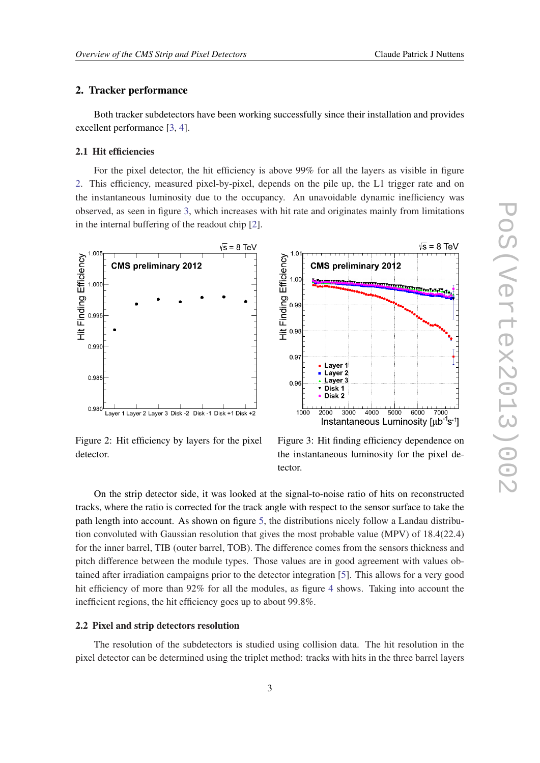## 2. Tracker performance

Both tracker subdetectors have been working successfully since their installation and provides excellent performance [[3](#page-9-0), [4](#page-9-0)].

## 2.1 Hit efficiencies

For the pixel detector, the hit efficiency is above 99% for all the layers as visible in figure 2. This efficiency, measured pixel-by-pixel, depends on the pile up, the L1 trigger rate and on the instantaneous luminosity due to the occupancy. An unavoidable dynamic inefficiency was observed, as seen in figure 3, which increases with hit rate and originates mainly from limitations in the internal buffering of the readout chip [[2](#page-9-0)].



Figure 2: Hit efficiency by layers for the pixel detector.



On the strip detector side, it was looked at the signal-to-noise ratio of hits on reconstructed tracks, where the ratio is corrected for the track angle with respect to the sensor surface to take the path length into account. As shown on figure [5,](#page-3-0) the distributions nicely follow a Landau distribution convoluted with Gaussian resolution that gives the most probable value (MPV) of 18.4(22.4) for the inner barrel, TIB (outer barrel, TOB). The difference comes from the sensors thickness and pitch difference between the module types. Those values are in good agreement with values obtained after irradiation campaigns prior to the detector integration [\[5\]](#page-9-0). This allows for a very good hit efficiency of more than 92% for all the modules, as figure [4](#page-3-0) shows. Taking into account the inefficient regions, the hit efficiency goes up to about 99.8%.

#### 2.2 Pixel and strip detectors resolution

The resolution of the subdetectors is studied using collision data. The hit resolution in the pixel detector can be determined using the triplet method: tracks with hits in the three barrel layers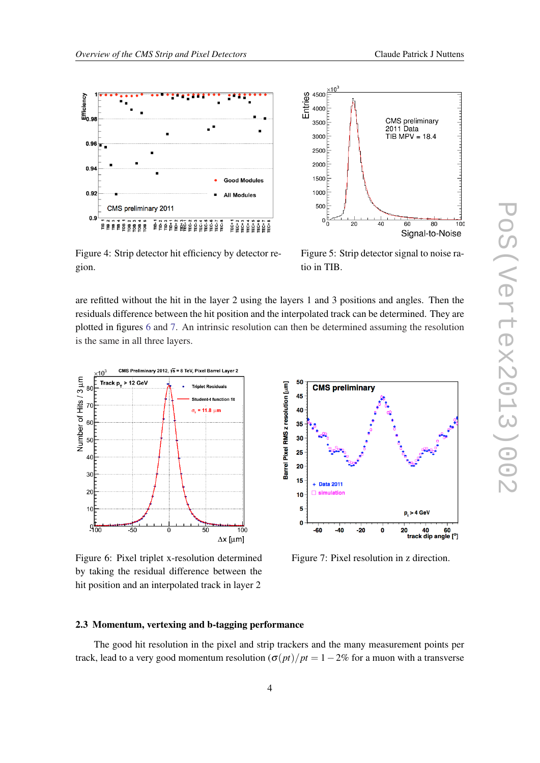<span id="page-3-0"></span>



Figure 4: Strip detector hit efficiency by detector region.

Figure 5: Strip detector signal to noise ratio in TIB.

are refitted without the hit in the layer 2 using the layers 1 and 3 positions and angles. Then the residuals difference between the hit position and the interpolated track can be determined. They are plotted in figures 6 and 7. An intrinsic resolution can then be determined assuming the resolution is the same in all three layers.



Figure 6: Pixel triplet x-resolution determined by taking the residual difference between the hit position and an interpolated track in layer 2



Figure 7: Pixel resolution in z direction.

## 2.3 Momentum, vertexing and b-tagging performance

The good hit resolution in the pixel and strip trackers and the many measurement points per track, lead to a very good momentum resolution  $\left(\frac{\sigma(pt)}{pt} \right) = 1-2\%$  for a muon with a transverse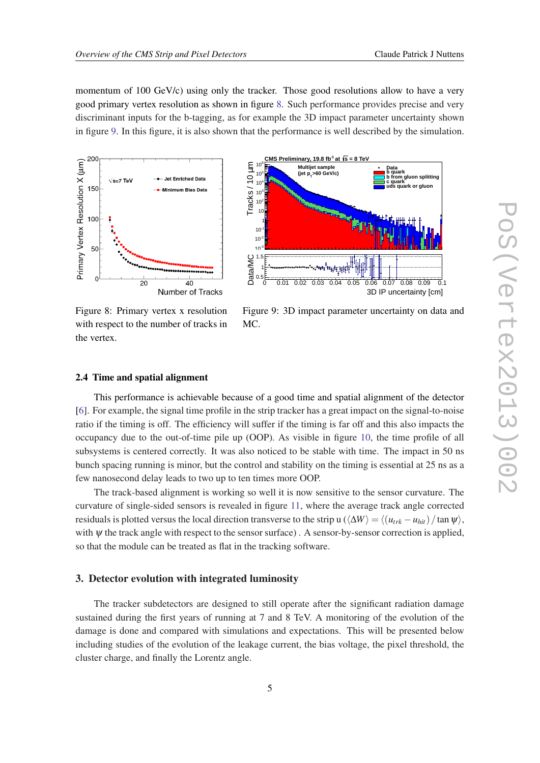momentum of 100 GeV/c) using only the tracker. Those good resolutions allow to have a very good primary vertex resolution as shown in figure 8. Such performance provides precise and very discriminant inputs for the b-tagging, as for example the 3D impact parameter uncertainty shown in figure 9. In this figure, it is also shown that the performance is well described by the simulation.



Figure 8: Primary vertex x resolution with respect to the number of tracks in the vertex.

Figure 9: 3D impact parameter uncertainty on data and MC.

### 2.4 Time and spatial alignment

This performance is achievable because of a good time and spatial alignment of the detector [[6](#page-9-0)]. For example, the signal time profile in the strip tracker has a great impact on the signal-to-noise ratio if the timing is off. The efficiency will suffer if the timing is far off and this also impacts the occupancy due to the out-of-time pile up (OOP). As visible in figure [10](#page-5-0), the time profile of all subsystems is centered correctly. It was also noticed to be stable with time. The impact in 50 ns bunch spacing running is minor, but the control and stability on the timing is essential at 25 ns as a few nanosecond delay leads to two up to ten times more OOP.

The track-based alignment is working so well it is now sensitive to the sensor curvature. The curvature of single-sided sensors is revealed in figure [11](#page-5-0), where the average track angle corrected residuals is plotted versus the local direction transverse to the strip u ( $\langle \Delta W \rangle = \langle (u_{trk} - u_{hit}) / \tan \psi \rangle$ , with  $\psi$  the track angle with respect to the sensor surface). A sensor-by-sensor correction is applied, so that the module can be treated as flat in the tracking software.

## 3. Detector evolution with integrated luminosity

The tracker subdetectors are designed to still operate after the significant radiation damage sustained during the first years of running at 7 and 8 TeV. A monitoring of the evolution of the damage is done and compared with simulations and expectations. This will be presented below including studies of the evolution of the leakage current, the bias voltage, the pixel threshold, the cluster charge, and finally the Lorentz angle.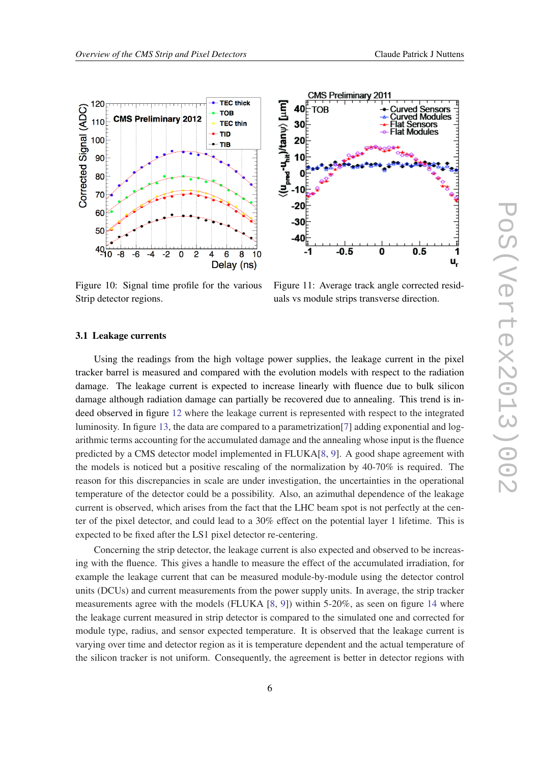<span id="page-5-0"></span>



Figure 10: Signal time profile for the various Strip detector regions.

Figure 11: Average track angle corrected residuals vs module strips transverse direction.

#### 3.1 Leakage currents

Using the readings from the high voltage power supplies, the leakage current in the pixel tracker barrel is measured and compared with the evolution models with respect to the radiation damage. The leakage current is expected to increase linearly with fluence due to bulk silicon damage although radiation damage can partially be recovered due to annealing. This trend is indeed observed in figure [12](#page-6-0) where the leakage current is represented with respect to the integrated luminosity. In figure [13,](#page-6-0) the data are compared to a parametrization[\[7\]](#page-9-0) adding exponential and logarithmic terms accounting for the accumulated damage and the annealing whose input is the fluence predicted by a CMS detector model implemented in FLUKA[[8](#page-9-0), [9\]](#page-9-0). A good shape agreement with the models is noticed but a positive rescaling of the normalization by 40-70% is required. The reason for this discrepancies in scale are under investigation, the uncertainties in the operational temperature of the detector could be a possibility. Also, an azimuthal dependence of the leakage current is observed, which arises from the fact that the LHC beam spot is not perfectly at the center of the pixel detector, and could lead to a 30% effect on the potential layer 1 lifetime. This is expected to be fixed after the LS1 pixel detector re-centering.

Concerning the strip detector, the leakage current is also expected and observed to be increasing with the fluence. This gives a handle to measure the effect of the accumulated irradiation, for example the leakage current that can be measured module-by-module using the detector control units (DCUs) and current measurements from the power supply units. In average, the strip tracker measurements agree with the models (FLUKA [[8](#page-9-0), [9\]](#page-9-0)) within 5-20%, as seen on figure [14](#page-6-0) where the leakage current measured in strip detector is compared to the simulated one and corrected for module type, radius, and sensor expected temperature. It is observed that the leakage current is varying over time and detector region as it is temperature dependent and the actual temperature of the silicon tracker is not uniform. Consequently, the agreement is better in detector regions with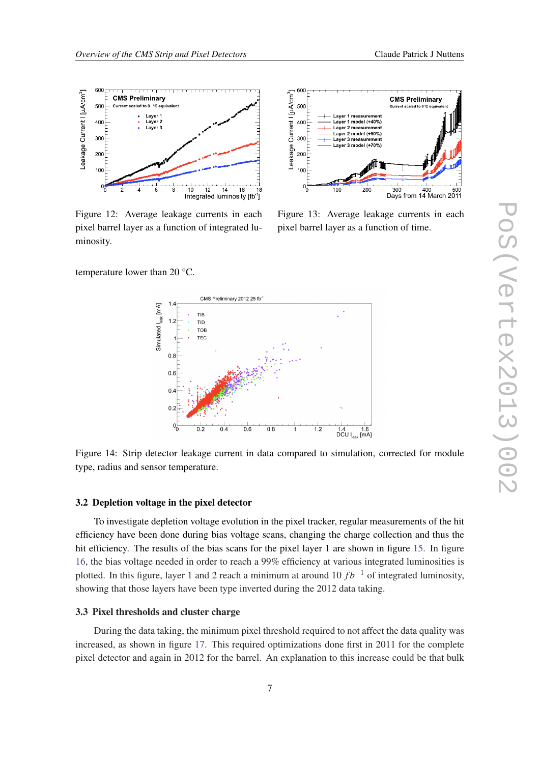<span id="page-6-0"></span>



600

Figure 12: Average leakage currents in each pixel barrel layer as a function of integrated luminosity.

Figure 13: Average leakage currents in each pixel barrel layer as a function of time.

temperature lower than 20 °C.



Figure 14: Strip detector leakage current in data compared to simulation, corrected for module type, radius and sensor temperature.

## 3.2 Depletion voltage in the pixel detector

To investigate depletion voltage evolution in the pixel tracker, regular measurements of the hit efficiency have been done during bias voltage scans, changing the charge collection and thus the hit efficiency. The results of the bias scans for the pixel layer 1 are shown in figure [15.](#page-7-0) In figure [16](#page-7-0), the bias voltage needed in order to reach a 99% efficiency at various integrated luminosities is plotted. In this figure, layer 1 and 2 reach a minimum at around 10  $fb^{-1}$  of integrated luminosity, showing that those layers have been type inverted during the 2012 data taking.

## 3.3 Pixel thresholds and cluster charge

During the data taking, the minimum pixel threshold required to not affect the data quality was increased, as shown in figure [17.](#page-7-0) This required optimizations done first in 2011 for the complete pixel detector and again in 2012 for the barrel. An explanation to this increase could be that bulk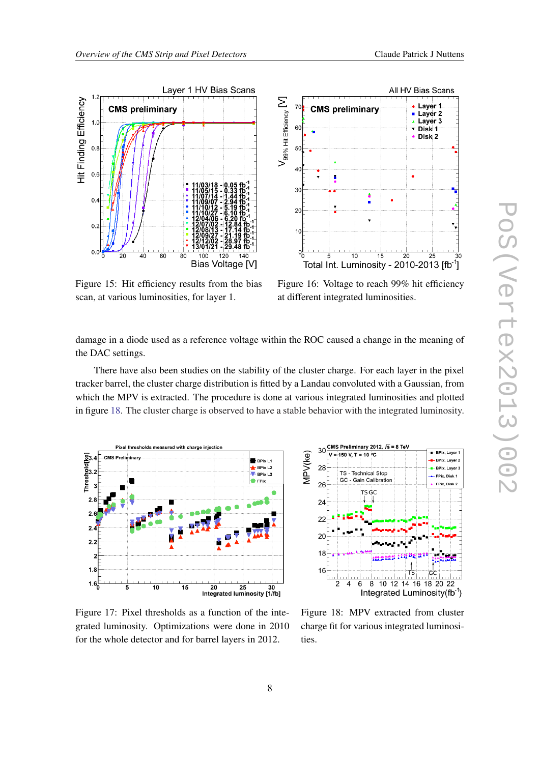<span id="page-7-0"></span>



Figure 15: Hit efficiency results from the bias scan, at various luminosities, for layer 1.

Figure 16: Voltage to reach 99% hit efficiency at different integrated luminosities.

damage in a diode used as a reference voltage within the ROC caused a change in the meaning of the DAC settings.

There have also been studies on the stability of the cluster charge. For each layer in the pixel tracker barrel, the cluster charge distribution is fitted by a Landau convoluted with a Gaussian, from which the MPV is extracted. The procedure is done at various integrated luminosities and plotted in figure 18. The cluster charge is observed to have a stable behavior with the integrated luminosity.



CMS Preliminary 2012,  $\sqrt{s}$  = 8 TeV 30 <del>.</del><br>- BPix, Layer 1 MPV(ke)  $-V = 150 V, T = 10 °C$ <mark>∎–</mark> BPix, Layer 2 28 BPix, Layer TS - Technical Stop - FPix, Disk 1 GC - Gain Calibration  $26$ FPix, Disk 2 TS<sub>GC</sub>  $24$ 22  $2C$ 18 16 ┮ **GC**  $\overline{2}$ 8 10 12 14 16 18 20 22  $\boldsymbol{\Lambda}$ 6 Integrated Luminosity(fb<sup>-1</sup>)

Figure 17: Pixel thresholds as a function of the integrated luminosity. Optimizations were done in 2010 for the whole detector and for barrel layers in 2012.

Figure 18: MPV extracted from cluster charge fit for various integrated luminosities.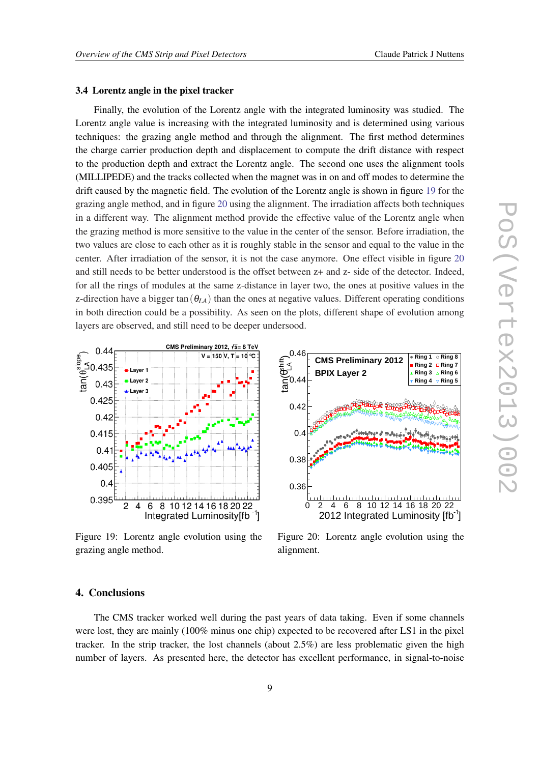#### 3.4 Lorentz angle in the pixel tracker

Finally, the evolution of the Lorentz angle with the integrated luminosity was studied. The Lorentz angle value is increasing with the integrated luminosity and is determined using various techniques: the grazing angle method and through the alignment. The first method determines the charge carrier production depth and displacement to compute the drift distance with respect to the production depth and extract the Lorentz angle. The second one uses the alignment tools (MILLIPEDE) and the tracks collected when the magnet was in on and off modes to determine the drift caused by the magnetic field. The evolution of the Lorentz angle is shown in figure 19 for the grazing angle method, and in figure 20 using the alignment. The irradiation affects both techniques in a different way. The alignment method provide the effective value of the Lorentz angle when the grazing method is more sensitive to the value in the center of the sensor. Before irradiation, the two values are close to each other as it is roughly stable in the sensor and equal to the value in the center. After irradiation of the sensor, it is not the case anymore. One effect visible in figure 20 and still needs to be better understood is the offset between z+ and z- side of the detector. Indeed, for all the rings of modules at the same z-distance in layer two, the ones at positive values in the z-direction have a bigger tan( $\theta_{LA}$ ) than the ones at negative values. Different operating conditions in both direction could be a possibility. As seen on the plots, different shape of evolution among layers are observed, and still need to be deeper undersood.



Figure 19: Lorentz angle evolution using the grazing angle method.



Figure 20: Lorentz angle evolution using the alignment.

## 4. Conclusions

The CMS tracker worked well during the past years of data taking. Even if some channels were lost, they are mainly (100% minus one chip) expected to be recovered after LS1 in the pixel tracker. In the strip tracker, the lost channels (about 2.5%) are less problematic given the high number of layers. As presented here, the detector has excellent performance, in signal-to-noise